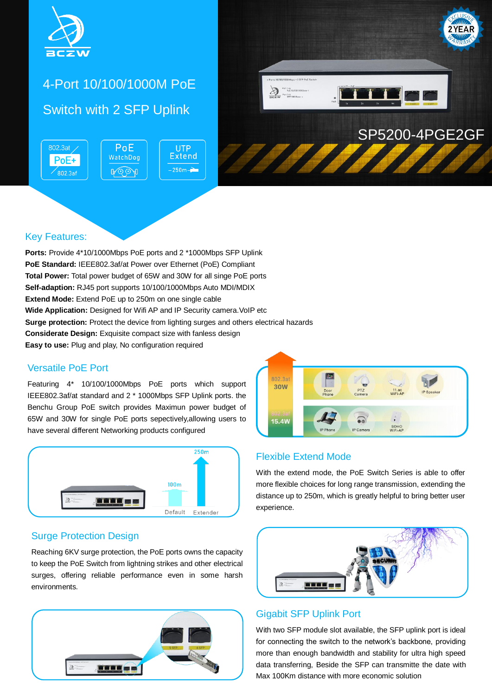

# 4-Port 10/100/1000M PoE Switch with 2 SFP Uplink

802.3at / PoE **UTP Extend** WatchDog  $PoE+$  $-250m -$ ROOA  $802.3af$ 



### Key Features:

**Ports:** Provide 4\*10/1000Mbps PoE ports and 2 \*1000Mbps SFP Uplink **PoE Standard:** IEEE802.3af/at Power over Ethernet (PoE) Compliant **Total Power:** Total power budget of 65W and 30W for all singe PoE ports **Self-adaption:** RJ45 port supports 10/100/1000Mbps Auto MDI/MDIX **Extend Mode:** Extend PoE up to 250m on one single cable **Wide Application:** Designed for Wifi AP and IP Security camera. VoIP etc **Surge protection:** Protect the device from lighting surges and others electrical hazards **Considerate Design:** Exquisite compact size with fanless design **Easy to use:** Plug and play, No configuration required

### Versatile PoE Port

Featuring 4\* 10/100/1000Mbps PoE ports which support IEEE802.3af/at standard and 2 \* 1000Mbps SFP Uplink ports. the Benchu Group PoE switch provides Maximun power budget of 65W and 30W for single PoE ports sepectively,allowing users to have several different Networking products configured



### Surge Protection Design

Reaching 6KV surge protection, the PoE ports owns the capacity to keep the PoE Switch from lightning strikes and other electrical surges, offering reliable performance even in some harsh environments.





### Flexible Extend Mode

With the extend mode, the PoE Switch Series is able to offer more flexible choices for long range transmission, extending the distance up to 250m, which is greatly helpful to bring better user experience.



#### Gigabit SFP Uplink Port

With two SFP module slot available, the SFP uplink port is ideal for connecting the switch to the network's backbone, providing more than enough bandwidth and stability for ultra high speed data transferring, Beside the SFP can transmitte the date with Max 100Km distance with more economic solution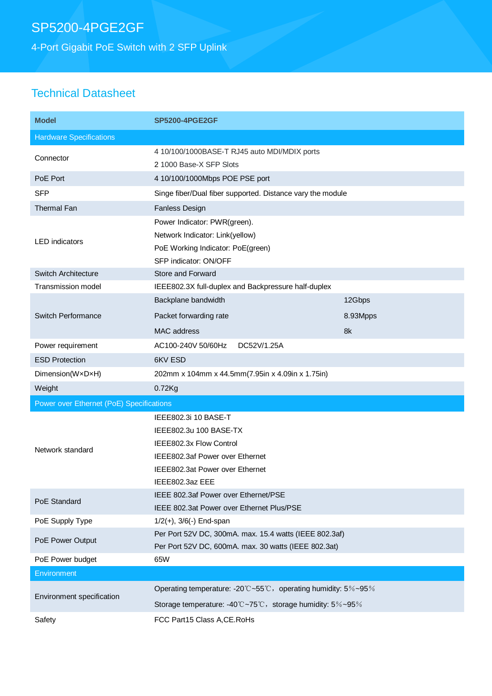# SP5200-4PGE2GF

4-Port Gigabit PoE Switch with 2 SFP Uplink

### Technical Datasheet

| <b>Model</b>                             | <b>SP5200-4PGE2GF</b>                                                                                                                                              |          |  |
|------------------------------------------|--------------------------------------------------------------------------------------------------------------------------------------------------------------------|----------|--|
| <b>Hardware Specifications</b>           |                                                                                                                                                                    |          |  |
| Connector                                | 4 10/100/1000BASE-T RJ45 auto MDI/MDIX ports<br>2 1000 Base-X SFP Slots                                                                                            |          |  |
| PoE Port                                 | 4 10/100/1000Mbps POE PSE port                                                                                                                                     |          |  |
| <b>SFP</b>                               | Singe fiber/Dual fiber supported. Distance vary the module                                                                                                         |          |  |
| <b>Thermal Fan</b>                       | Fanless Design                                                                                                                                                     |          |  |
| <b>LED</b> indicators                    | Power Indicator: PWR(green).<br>Network Indicator: Link(yellow)<br>PoE Working Indicator: PoE(green)<br>SFP indicator: ON/OFF                                      |          |  |
| <b>Switch Architecture</b>               | Store and Forward                                                                                                                                                  |          |  |
| <b>Transmission model</b>                | IEEE802.3X full-duplex and Backpressure half-duplex                                                                                                                |          |  |
| <b>Switch Performance</b>                | Backplane bandwidth                                                                                                                                                | 12Gbps   |  |
|                                          | Packet forwarding rate                                                                                                                                             | 8.93Mpps |  |
|                                          | <b>MAC</b> address                                                                                                                                                 | 8k       |  |
| Power requirement                        | DC52V/1.25A<br>AC100-240V 50/60Hz                                                                                                                                  |          |  |
| <b>ESD Protection</b>                    | 6KV ESD                                                                                                                                                            |          |  |
| Dimension(WxDxH)                         | 202mm x 104mm x 44.5mm(7.95in x 4.09in x 1.75in)                                                                                                                   |          |  |
| Weight                                   | $0.72$ Kg                                                                                                                                                          |          |  |
| Power over Ethernet (PoE) Specifications |                                                                                                                                                                    |          |  |
| Network standard                         | IEEE802.3i 10 BASE-T<br>IEEE802.3u 100 BASE-TX<br>IEEE802.3x Flow Control<br>IEEE802.3af Power over Ethernet<br>IEEE802.3at Power over Ethernet<br>IEEE802.3az EEE |          |  |
| PoE Standard                             | IEEE 802.3af Power over Ethernet/PSE<br>IEEE 802.3at Power over Ethernet Plus/PSE                                                                                  |          |  |
| PoE Supply Type                          | $1/2(+)$ , $3/6(-)$ End-span                                                                                                                                       |          |  |
| PoE Power Output                         | Per Port 52V DC, 300mA. max. 15.4 watts (IEEE 802.3af)<br>Per Port 52V DC, 600mA. max. 30 watts (IEEE 802.3at)                                                     |          |  |
| PoE Power budget                         | 65W                                                                                                                                                                |          |  |
| Environment                              |                                                                                                                                                                    |          |  |
| Environment specification                | Operating temperature: -20°C~55°C, operating humidity: 5%~95%                                                                                                      |          |  |
|                                          | Storage temperature: -40°C~75°C, storage humidity: 5%~95%                                                                                                          |          |  |
| Safety                                   | FCC Part15 Class A, CE. RoHs                                                                                                                                       |          |  |